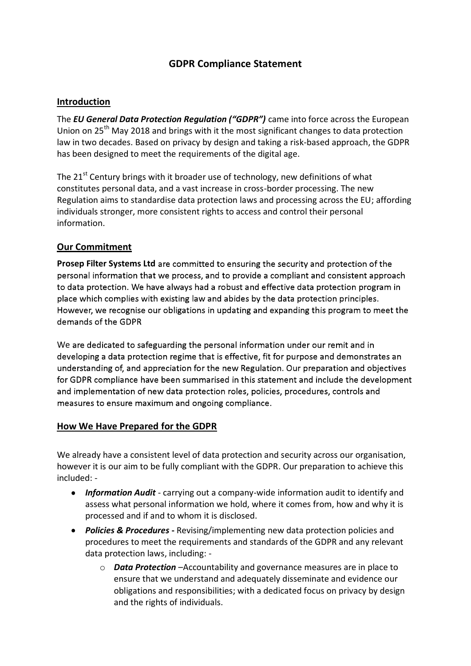# **GDPR Compliance Statement**

#### **Introduction**

The *EU General Data Protection Regulation ("GDPR")* came into force across the European Union on 25<sup>th</sup> May 2018 and brings with it the most significant changes to data protection law in two decades. Based on privacy by design and taking a risk-based approach, the GDPR has been designed to meet the requirements of the digital age.

The 21<sup>st</sup> Century brings with it broader use of technology, new definitions of what constitutes personal data, and a vast increase in cross-border processing. The new Regulation aims to standardise data protection laws and processing across the EU; affording individuals stronger, more consistent rights to access and control their personal information.

#### **Our Commitment**

**Prosep Filter Systems Ltd** are committed to ensuring the security and protection of the personal information that we process, and to provide a compliant and consistent approach to data protection. We have always had a robust and effective data protection program in place which complies with existing law and abides by the data protection principles. However, we recognise our obligations in updating and expanding this program to meet the demands of the GDPR

We are dedicated to safeguarding the personal information under our remit and in developing a data protection regime that is effective, fit for purpose and demonstrates an understanding of, and appreciation for the new Regulation. Our preparation and objectives for GDPR compliance have been summarised in this statement and include the development and implementation of new data protection roles, policies, procedures, controls and measures to ensure maximum and ongoing compliance.

#### **How We Have Prepared for the GDPR**

We already have a consistent level of data protection and security across our organisation, however it is our aim to be fully compliant with the GDPR. Our preparation to achieve this included: -

- *Information Audit* carrying out a company-wide information audit to identify and assess what personal information we hold, where it comes from, how and why it is processed and if and to whom it is disclosed.
- *Policies & Procedures* **-** Revising/implementing new data protection policies and procedures to meet the requirements and standards of the GDPR and any relevant data protection laws, including:
	- o *Data Protection* –Accountability and governance measures are in place to ensure that we understand and adequately disseminate and evidence our obligations and responsibilities; with a dedicated focus on privacy by design and the rights of individuals.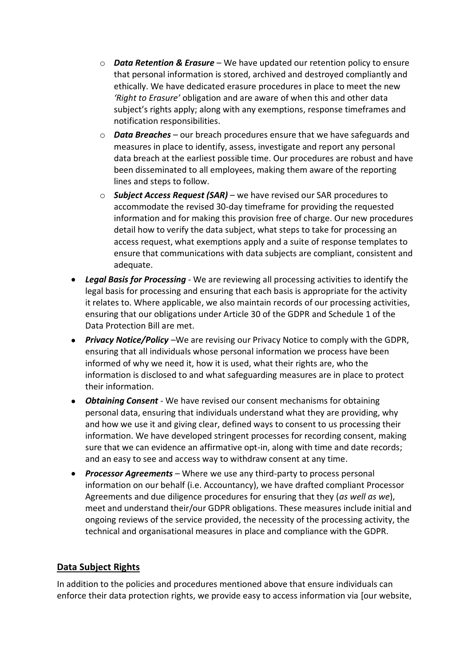- o *Data Retention & Erasure* We have updated our retention policy to ensure that personal information is stored, archived and destroyed compliantly and ethically. We have dedicated erasure procedures in place to meet the new *'Right to Erasure'* obligation and are aware of when this and other data subject's rights apply; along with any exemptions, response timeframes and notification responsibilities.
- o *Data Breaches* our breach procedures ensure that we have safeguards and measures in place to identify, assess, investigate and report any personal data breach at the earliest possible time. Our procedures are robust and have been disseminated to all employees, making them aware of the reporting lines and steps to follow.
- o *Subject Access Request (SAR)* we have revised our SAR procedures to accommodate the revised 30-day timeframe for providing the requested information and for making this provision free of charge. Our new procedures detail how to verify the data subject, what steps to take for processing an access request, what exemptions apply and a suite of response templates to ensure that communications with data subjects are compliant, consistent and adequate.
- *Legal Basis for Processing* We are reviewing all processing activities to identify the legal basis for processing and ensuring that each basis is appropriate for the activity it relates to. Where applicable, we also maintain records of our processing activities, ensuring that our obligations under Article 30 of the GDPR and Schedule 1 of the Data Protection Bill are met.
- *Privacy Notice/Policy* –We are revising our Privacy Notice to comply with the GDPR, ensuring that all individuals whose personal information we process have been informed of why we need it, how it is used, what their rights are, who the information is disclosed to and what safeguarding measures are in place to protect their information.
- *Obtaining Consent* We have revised our consent mechanisms for obtaining personal data, ensuring that individuals understand what they are providing, why and how we use it and giving clear, defined ways to consent to us processing their information. We have developed stringent processes for recording consent, making sure that we can evidence an affirmative opt-in, along with time and date records; and an easy to see and access way to withdraw consent at any time.
- *Processor Agreements* Where we use any third-party to process personal information on our behalf (i.e. Accountancy), we have drafted compliant Processor Agreements and due diligence procedures for ensuring that they (*as well as we*), meet and understand their/our GDPR obligations. These measures include initial and ongoing reviews of the service provided, the necessity of the processing activity, the technical and organisational measures in place and compliance with the GDPR.

## **Data Subject Rights**

In addition to the policies and procedures mentioned above that ensure individuals can enforce their data protection rights, we provide easy to access information via [our website,